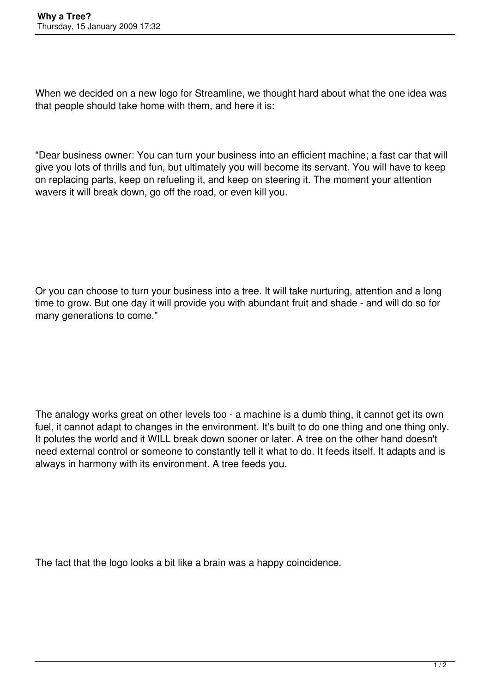When we decided on a new logo for Streamline, we thought hard about what the one idea was that people should take home with them, and here it is:

"Dear business owner: You can turn your business into an efficient machine; a fast car that will give you lots of thrills and fun, but ultimately you will become its servant. You will have to keep on replacing parts, keep on refueling it, and keep on steering it. The moment your attention wavers it will break down, go off the road, or even kill you.

Or you can choose to turn your business into a tree. It will take nurturing, attention and a long time to grow. But one day it will provide you with abundant fruit and shade - and will do so for many generations to come."

The analogy works great on other levels too - a machine is a dumb thing, it cannot get its own fuel, it cannot adapt to changes in the environment. It's built to do one thing and one thing only. It polutes the world and it WILL break down sooner or later. A tree on the other hand doesn't need external control or someone to constantly tell it what to do. It feeds itself. It adapts and is always in harmony with its environment. A tree feeds you.

The fact that the logo looks a bit like a brain was a happy coincidence.